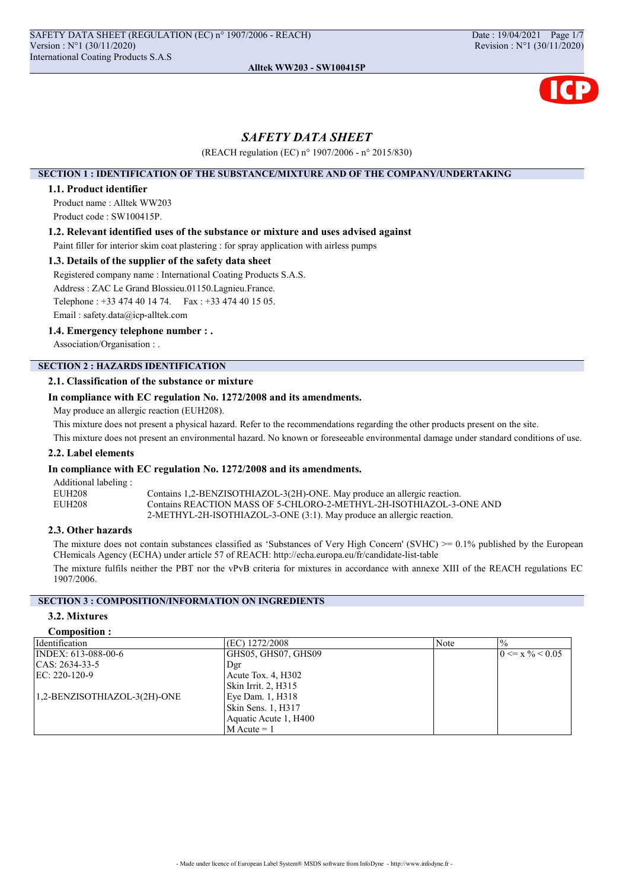

## SAFETY DATA SHEET

(REACH regulation (EC) n° 1907/2006 - n° 2015/830)

### SECTION 1 : IDENTIFICATION OF THE SUBSTANCE/MIXTURE AND OF THE COMPANY/UNDERTAKING

### 1.1. Product identifier

Product name : Alltek WW203 Product code : SW100415P.

### 1.2. Relevant identified uses of the substance or mixture and uses advised against

Paint filler for interior skim coat plastering : for spray application with airless pumps

### 1.3. Details of the supplier of the safety data sheet

Registered company name : International Coating Products S.A.S.

Address : ZAC Le Grand Blossieu.01150.Lagnieu.France.

Telephone : +33 474 40 14 74. Fax : +33 474 40 15 05.

Email : safety.data@icp-alltek.com

## 1.4. Emergency telephone number : .

Association/Organisation : .

# SECTION 2 : HAZARDS IDENTIFICATION

## 2.1. Classification of the substance or mixture

## In compliance with EC regulation No. 1272/2008 and its amendments.

May produce an allergic reaction (EUH208).

This mixture does not present a physical hazard. Refer to the recommendations regarding the other products present on the site.

This mixture does not present an environmental hazard. No known or foreseeable environmental damage under standard conditions of use.

### 2.2. Label elements

## In compliance with EC regulation No. 1272/2008 and its amendments.

Additional labeling : EUH208 Contains 1,2-BENZISOTHIAZOL-3(2H)-ONE. May produce an allergic reaction.<br>
Contains REACTION MASS OF 5-CHLORO-2-METHYL-2H-ISOTHIAZOL-3-0 Contains REACTION MASS OF 5-CHLORO-2-METHYL-2H-ISOTHIAZOL-3-ONE AND 2-METHYL-2H-ISOTHIAZOL-3-ONE (3:1). May produce an allergic reaction.

### 2.3. Other hazards

The mixture does not contain substances classified as 'Substances of Very High Concern' (SVHC)  $\geq 0.1\%$  published by the European CHemicals Agency (ECHA) under article 57 of REACH: http://echa.europa.eu/fr/candidate-list-table

The mixture fulfils neither the PBT nor the vPvB criteria for mixtures in accordance with annexe XIII of the REACH regulations EC 1907/2006.

## SECTION 3 : COMPOSITION/INFORMATION ON INGREDIENTS

## 3.2. Mixtures

### Composition :

| Identification               | (EC) 1272/2008        | Note | $\frac{0}{0}$                |
|------------------------------|-----------------------|------|------------------------------|
| INDEX: 613-088-00-6          | GHS05, GHS07, GHS09   |      | $0 \le x \frac{9}{6} < 0.05$ |
| CAS: 2634-33-5               | Dgr                   |      |                              |
| EC: $220-120-9$              | Acute Tox. 4, H302    |      |                              |
|                              | Skin Irrit. 2, H315   |      |                              |
| 1,2-BENZISOTHIAZOL-3(2H)-ONE | Eye Dam. 1, H318      |      |                              |
|                              | Skin Sens. 1, H317    |      |                              |
|                              | Aquatic Acute 1, H400 |      |                              |
|                              | $M$ Acute = 1         |      |                              |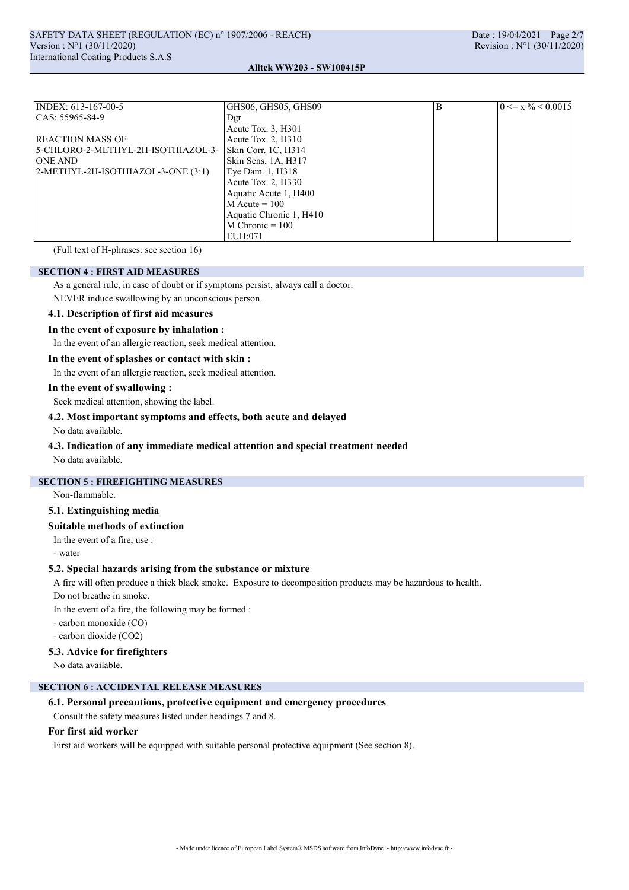### Alltek WW203 - SW100415P

| INDEX: 613-167-00-5                    | GHS06, GHS05, GHS09     | B | $0 \le x \frac{9}{6} < 0.0015$ |
|----------------------------------------|-------------------------|---|--------------------------------|
| $ CAS: 55965-84-9$                     | Dgr                     |   |                                |
|                                        | Acute Tox. 3, H301      |   |                                |
| <b>REACTION MASS OF</b>                | Acute Tox. $2, H310$    |   |                                |
| 5-CHLORO-2-METHYL-2H-ISOTHIAZOL-3-     | Skin Corr. 1C, H314     |   |                                |
| <b>ONE AND</b>                         | Skin Sens. 1A, H317     |   |                                |
| $ 2-METHYL-2H-ISOTHI AZOL-3-ONE(3:1) $ | Eye Dam. 1, H318        |   |                                |
|                                        | Acute Tox. 2, H330      |   |                                |
|                                        | Aquatic Acute 1, H400   |   |                                |
|                                        | $M$ Acute = 100         |   |                                |
|                                        | Aquatic Chronic 1, H410 |   |                                |
|                                        | $M$ Chronic = 100       |   |                                |
|                                        | EUH:071                 |   |                                |

(Full text of H-phrases: see section 16)

## SECTION 4 : FIRST AID MEASURES

As a general rule, in case of doubt or if symptoms persist, always call a doctor.

NEVER induce swallowing by an unconscious person.

## 4.1. Description of first aid measures

### In the event of exposure by inhalation :

In the event of an allergic reaction, seek medical attention.

### In the event of splashes or contact with skin :

In the event of an allergic reaction, seek medical attention.

### In the event of swallowing :

Seek medical attention, showing the label.

### 4.2. Most important symptoms and effects, both acute and delayed

No data available.

### 4.3. Indication of any immediate medical attention and special treatment needed

No data available.

## SECTION 5 : FIREFIGHTING MEASURES

Non-flammable.

## 5.1. Extinguishing media

### Suitable methods of extinction

In the event of a fire, use :

- water

### 5.2. Special hazards arising from the substance or mixture

A fire will often produce a thick black smoke. Exposure to decomposition products may be hazardous to health.

Do not breathe in smoke.

In the event of a fire, the following may be formed :

- carbon monoxide (CO)

- carbon dioxide (CO2)

## 5.3. Advice for firefighters

No data available.

## SECTION 6 : ACCIDENTAL RELEASE MEASURES

### 6.1. Personal precautions, protective equipment and emergency procedures

Consult the safety measures listed under headings 7 and 8.

### For first aid worker

First aid workers will be equipped with suitable personal protective equipment (See section 8).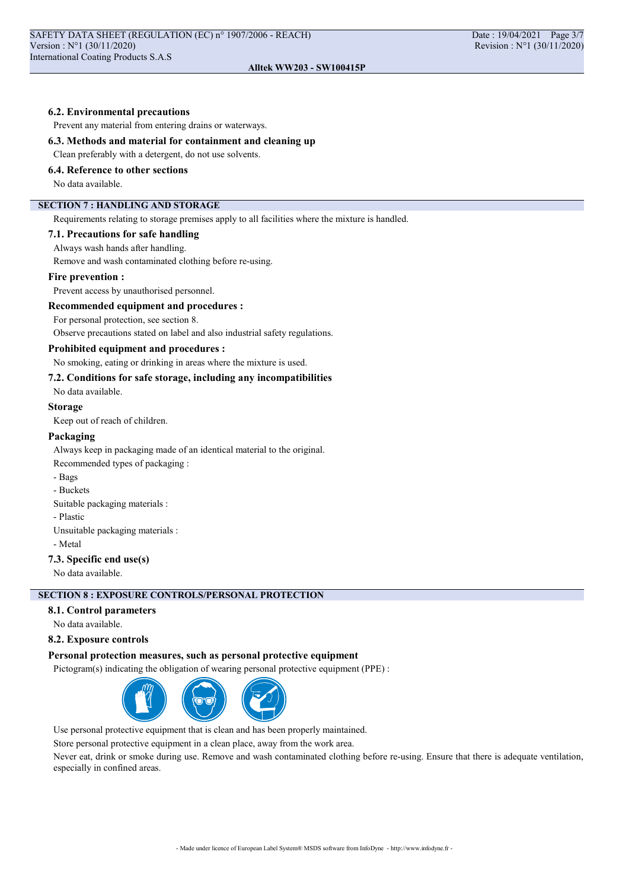### 6.2. Environmental precautions

Prevent any material from entering drains or waterways.

### 6.3. Methods and material for containment and cleaning up

Clean preferably with a detergent, do not use solvents.

## 6.4. Reference to other sections

No data available.

## SECTION 7 : HANDLING AND STORAGE

Requirements relating to storage premises apply to all facilities where the mixture is handled.

### 7.1. Precautions for safe handling

Always wash hands after handling.

Remove and wash contaminated clothing before re-using.

### Fire prevention :

Prevent access by unauthorised personnel.

## Recommended equipment and procedures :

For personal protection, see section 8.

Observe precautions stated on label and also industrial safety regulations.

### Prohibited equipment and procedures :

No smoking, eating or drinking in areas where the mixture is used.

## 7.2. Conditions for safe storage, including any incompatibilities

No data available.

### Storage

Keep out of reach of children.

### Packaging

Always keep in packaging made of an identical material to the original.

Recommended types of packaging :

- Bags
- Buckets
- Suitable packaging materials :

- Plastic

Unsuitable packaging materials :

- Metal

### 7.3. Specific end use(s)

No data available.

## SECTION 8 : EXPOSURE CONTROLS/PERSONAL PROTECTION

## 8.1. Control parameters

No data available.

### 8.2. Exposure controls

### Personal protection measures, such as personal protective equipment

Pictogram(s) indicating the obligation of wearing personal protective equipment (PPE) :



Use personal protective equipment that is clean and has been properly maintained.

Store personal protective equipment in a clean place, away from the work area.

Never eat, drink or smoke during use. Remove and wash contaminated clothing before re-using. Ensure that there is adequate ventilation, especially in confined areas.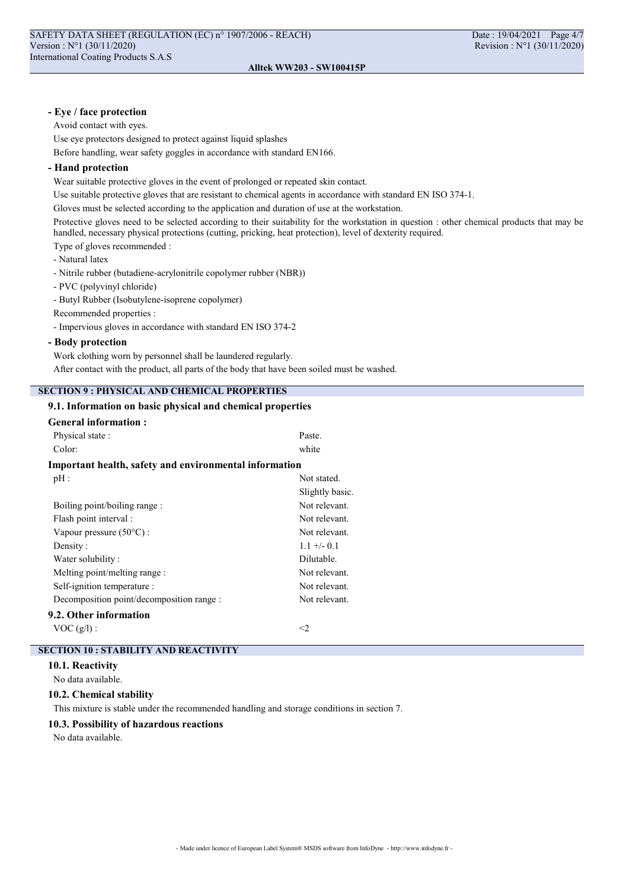## - Eye / face protection

Avoid contact with eyes.

Use eye protectors designed to protect against liquid splashes

Before handling, wear safety goggles in accordance with standard EN166.

### - Hand protection

Wear suitable protective gloves in the event of prolonged or repeated skin contact.

Use suitable protective gloves that are resistant to chemical agents in accordance with standard EN ISO 374-1.

Gloves must be selected according to the application and duration of use at the workstation.

Protective gloves need to be selected according to their suitability for the workstation in question : other chemical products that may be handled, necessary physical protections (cutting, pricking, heat protection), level of dexterity required.

Type of gloves recommended :

- Natural latex
- Nitrile rubber (butadiene-acrylonitrile copolymer rubber (NBR))
- PVC (polyvinyl chloride)
- Butyl Rubber (Isobutylene-isoprene copolymer)
- Recommended properties :
- Impervious gloves in accordance with standard EN ISO 374-2

## - Body protection

Work clothing worn by personnel shall be laundered regularly.

After contact with the product, all parts of the body that have been soiled must be washed.

## SECTION 9 : PHYSICAL AND CHEMICAL PROPERTIES

## 9.1. Information on basic physical and chemical properties

| <b>General information:</b>                            |                 |
|--------------------------------------------------------|-----------------|
| Physical state:                                        | Paste.          |
| Color:                                                 | white           |
| Important health, safety and environmental information |                 |
| $pH$ :                                                 | Not stated.     |
|                                                        | Slightly basic. |
| Boiling point/boiling range :                          | Not relevant.   |
| Flash point interval :                                 | Not relevant.   |
| Vapour pressure $(50^{\circ}C)$ :                      | Not relevant.   |
| Density:                                               | $1.1 + - 0.1$   |
| Water solubility:                                      | Dilutable.      |
| Melting point/melting range :                          | Not relevant.   |
| Self-ignition temperature :                            | Not relevant.   |
| Decomposition point/decomposition range:               | Not relevant.   |
| 9.2. Other information                                 |                 |
| $VOC(g/l)$ :                                           | <2              |

### SECTION 10 : STABILITY AND REACTIVITY

10.1. Reactivity

No data available.

### 10.2. Chemical stability

This mixture is stable under the recommended handling and storage conditions in section 7.

## 10.3. Possibility of hazardous reactions

No data available.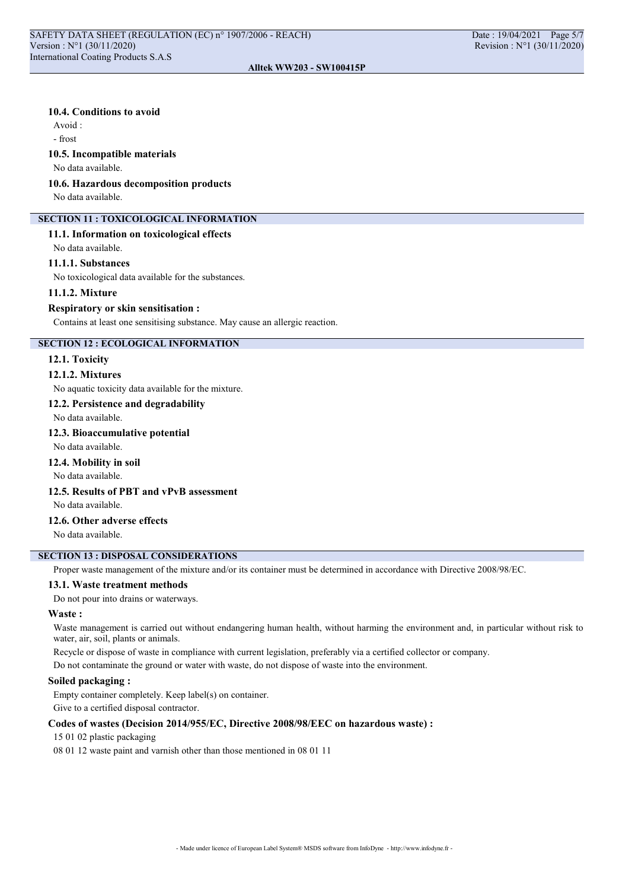### Alltek WW203 - SW100415P

### 10.4. Conditions to avoid

Avoid :

- frost

### 10.5. Incompatible materials

No data available.

### 10.6. Hazardous decomposition products

No data available.

### SECTION 11 : TOXICOLOGICAL INFORMATION

### 11.1. Information on toxicological effects

No data available.

### 11.1.1. Substances

No toxicological data available for the substances.

### 11.1.2. Mixture

### Respiratory or skin sensitisation :

Contains at least one sensitising substance. May cause an allergic reaction.

## SECTION 12 : ECOLOGICAL INFORMATION

### 12.1. Toxicity

### 12.1.2. Mixtures

No aquatic toxicity data available for the mixture.

### 12.2. Persistence and degradability

No data available.

## 12.3. Bioaccumulative potential

No data available.

## 12.4. Mobility in soil

No data available.

## 12.5. Results of PBT and vPvB assessment

No data available.

## 12.6. Other adverse effects

No data available.

## SECTION 13 : DISPOSAL CONSIDERATIONS

Proper waste management of the mixture and/or its container must be determined in accordance with Directive 2008/98/EC.

### 13.1. Waste treatment methods

Do not pour into drains or waterways.

### Waste :

Waste management is carried out without endangering human health, without harming the environment and, in particular without risk to water, air, soil, plants or animals.

Recycle or dispose of waste in compliance with current legislation, preferably via a certified collector or company.

Do not contaminate the ground or water with waste, do not dispose of waste into the environment.

### Soiled packaging :

Empty container completely. Keep label(s) on container. Give to a certified disposal contractor.

## Codes of wastes (Decision 2014/955/EC, Directive 2008/98/EEC on hazardous waste) :

## 15 01 02 plastic packaging

08 01 12 waste paint and varnish other than those mentioned in 08 01 11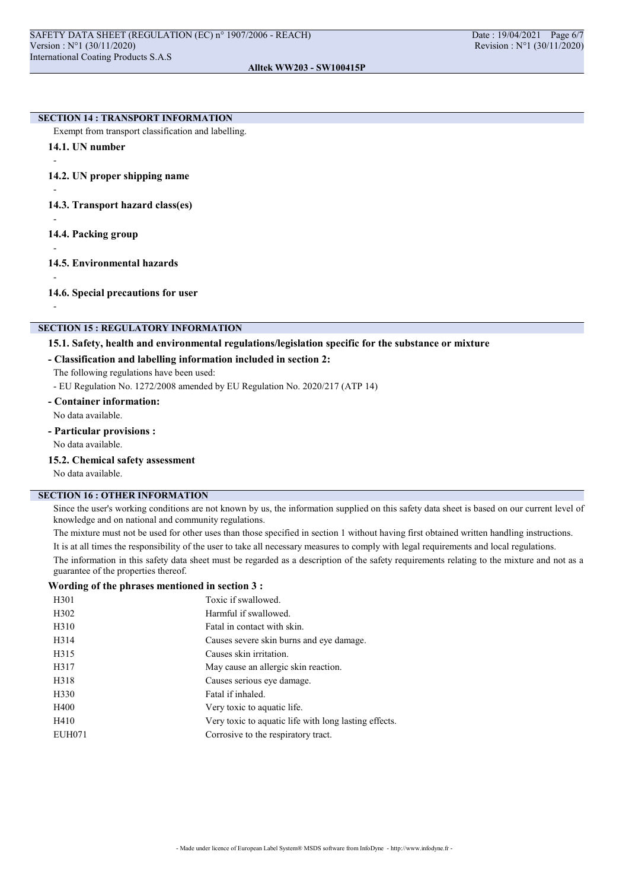Alltek WW203 - SW100415P

### **SECTION 14 : TRANSPORT INFORMATION**

Exempt from transport classification and labelling.

14.1. UN number

14.2. UN proper shipping name

-

-

-

-

14.3. Transport hazard class(es)

- 14.4. Packing group
- 14.5. Environmental hazards

-

-

14.6. Special precautions for user

## **SECTION 15 : REGULATORY INFORMATION**

## 15.1. Safety, health and environmental regulations/legislation specific for the substance or mixture

### - Classification and labelling information included in section 2:

The following regulations have been used:

- EU Regulation No. 1272/2008 amended by EU Regulation No. 2020/217 (ATP 14)

- Container information:

No data available.

- Particular provisions :

No data available.

15.2. Chemical safety assessment

No data available.

## SECTION 16 : OTHER INFORMATION

Since the user's working conditions are not known by us, the information supplied on this safety data sheet is based on our current level of knowledge and on national and community regulations.

The mixture must not be used for other uses than those specified in section 1 without having first obtained written handling instructions. It is at all times the responsibility of the user to take all necessary measures to comply with legal requirements and local regulations.

The information in this safety data sheet must be regarded as a description of the safety requirements relating to the mixture and not as a guarantee of the properties thereof.

### Wording of the phrases mentioned in section 3 :

| H301          | Toxic if swallowed.                                   |
|---------------|-------------------------------------------------------|
| H302          | Harmful if swallowed.                                 |
| H310          | Fatal in contact with skin.                           |
| H314          | Causes severe skin burns and eye damage.              |
| H315          | Causes skin irritation.                               |
| H317          | May cause an allergic skin reaction.                  |
| H318          | Causes serious eye damage.                            |
| H330          | Fatal if inhaled.                                     |
| H400          | Very toxic to aquatic life.                           |
| H410          | Very toxic to aquatic life with long lasting effects. |
| <b>EUH071</b> | Corrosive to the respiratory tract.                   |
|               |                                                       |